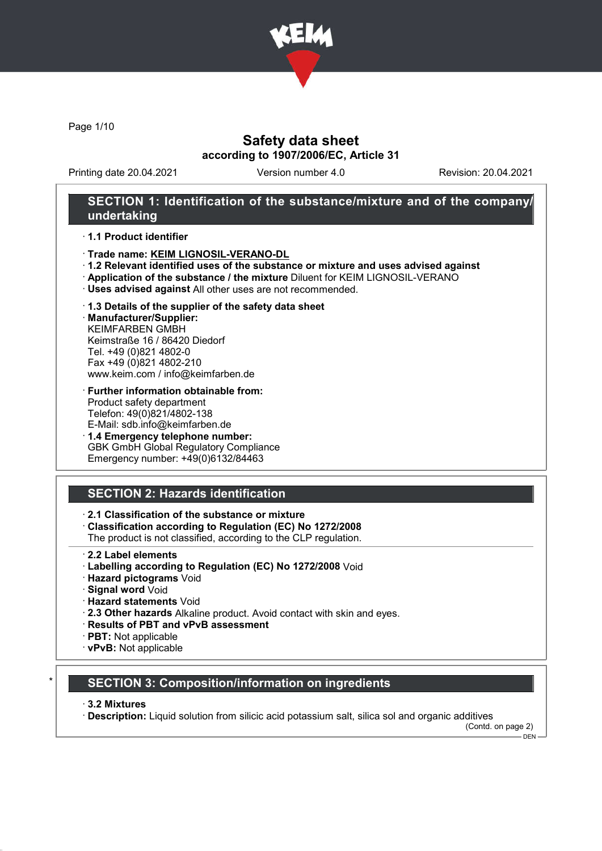

Page 1/10

## Safety data sheet according to 1907/2006/EC, Article 31

Printing date 20.04.2021 Version number 4.0 Revision: 20.04.2021

## SECTION 1: Identification of the substance/mixture and of the company/ undertaking

#### · 1.1 Product identifier

- · Trade name: KEIM LIGNOSIL-VERANO-DL
- · 1.2 Relevant identified uses of the substance or mixture and uses advised against
- · Application of the substance / the mixture Diluent for KEIM LIGNOSIL-VERANO
- · Uses advised against All other uses are not recommended.
- · 1.3 Details of the supplier of the safety data sheet

· Manufacturer/Supplier: KEIMFARBEN GMBH Keimstraße 16 / 86420 Diedorf Tel. +49 (0)821 4802-0 Fax +49 (0)821 4802-210 www.keim.com / info@keimfarben.de

- · Further information obtainable from: Product safety department Telefon: 49(0)821/4802-138 E-Mail: sdb.info@keimfarben.de
- · 1.4 Emergency telephone number: GBK GmbH Global Regulatory Compliance Emergency number: +49(0)6132/84463

# SECTION 2: Hazards identification

### · 2.1 Classification of the substance or mixture

- · Classification according to Regulation (EC) No 1272/2008
- The product is not classified, according to the CLP regulation.
- 2.2 Label elements
- · Labelling according to Regulation (EC) No 1272/2008 Void
- · Hazard pictograms Void
- · Signal word Void
- · Hazard statements Void
- · 2.3 Other hazards Alkaline product. Avoid contact with skin and eyes.
- · Results of PBT and vPvB assessment
- · PBT: Not applicable
- · vPvB: Not applicable

### **SECTION 3: Composition/information on ingredients**

#### · 3.2 Mixtures

· Description: Liquid solution from silicic acid potassium salt, silica sol and organic additives

(Contd. on page 2)  $-$  DEN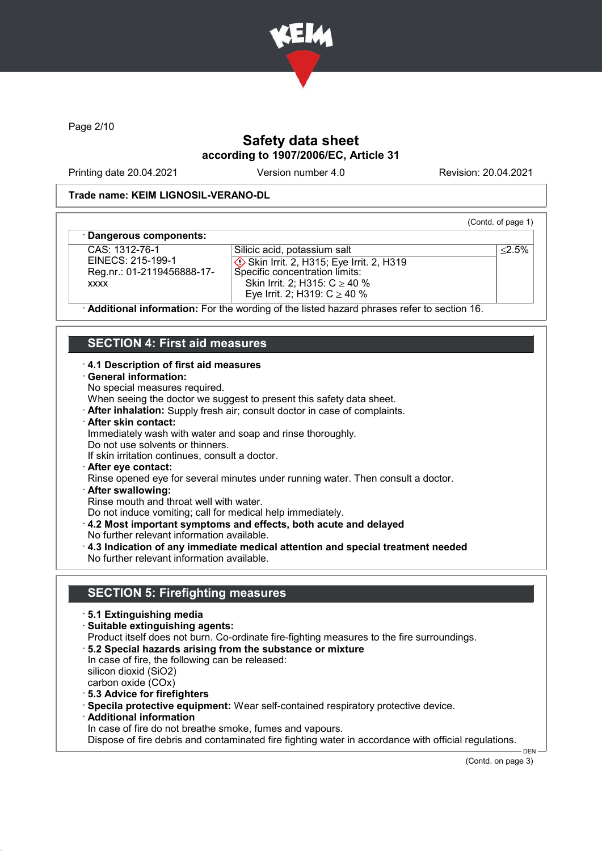

Page 2/10

# Safety data sheet according to 1907/2006/EC, Article 31

Printing date 20.04.2021 Version number 4.0 Revision: 20.04.2021

(Contd. of page 1)

≤2.5%

#### Trade name: KEIM LIGNOSIL-VERANO-DL

#### Dangerous components:

CAS: 1312-76-1 EINECS: 215-199-1 Reg.nr.: 01-2119456888-17 xxxx

Silicic acid, potassium salt Skin Irrit. 2, H315; Eye Irrit. 2, H319 Specific concentration limits: Skin Irrit. 2; H315: C ≥ 40 % Eye Irrit. 2; H319:  $C$  ≥ 40 %

Additional information: For the wording of the listed hazard phrases refer to section 16.

# SECTION 4: First aid measures

#### · 4.1 Description of first aid measures

- · General information:
- No special measures required.

When seeing the doctor we suggest to present this safety data sheet.

- · After inhalation: Supply fresh air; consult doctor in case of complaints.
- · After skin contact:

Immediately wash with water and soap and rinse thoroughly.

- Do not use solvents or thinners.
- If skin irritation continues, consult a doctor.
- · After eye contact:

Rinse opened eye for several minutes under running water. Then consult a doctor.

· After swallowing:

Rinse mouth and throat well with water.

Do not induce vomiting; call for medical help immediately.

- · 4.2 Most important symptoms and effects, both acute and delayed
- No further relevant information available.
- · 4.3 Indication of any immediate medical attention and special treatment needed No further relevant information available.

### SECTION 5: Firefighting measures

- · 5.1 Extinguishing media
- · Suitable extinguishing agents:
- Product itself does not burn. Co-ordinate fire-fighting measures to the fire surroundings.
- · 5.2 Special hazards arising from the substance or mixture

In case of fire, the following can be released: silicon dioxid (SiO2) carbon oxide (COx)

- · 5.3 Advice for firefighters
- · Specila protective equipment: Wear self-contained respiratory protective device.
- · Additional information

In case of fire do not breathe smoke, fumes and vapours.

Dispose of fire debris and contaminated fire fighting water in accordance with official regulations.

(Contd. on page 3)

DEN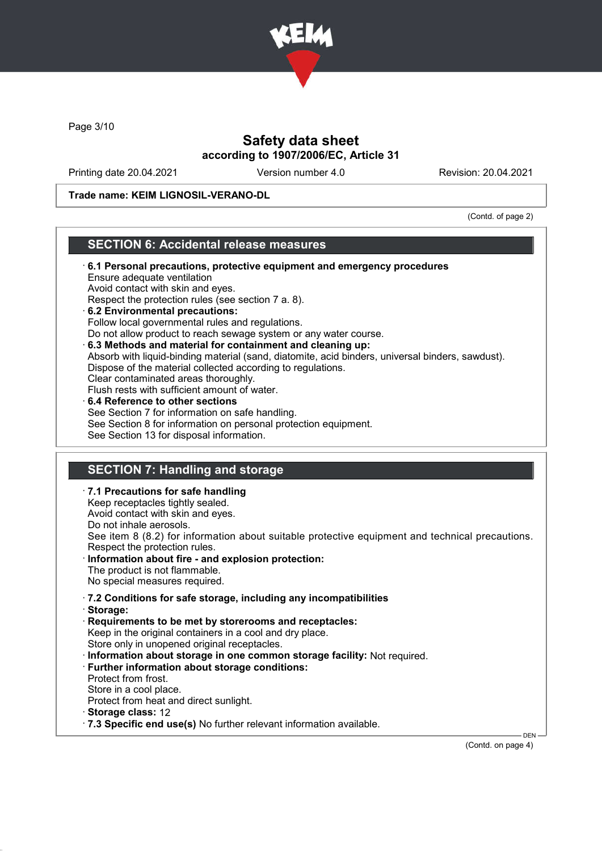

Page 3/10

# Safety data sheet according to 1907/2006/EC, Article 31

Printing date 20.04.2021 Version number 4.0 Revision: 20.04.2021

Trade name: KEIM LIGNOSIL-VERANO-DL

(Contd. of page 2)

### SECTION 6: Accidental release measures

| 6.1 Personal precautions, protective equipment and emergency procedures<br>Ensure adequate ventilation<br>Avoid contact with skin and eyes.<br>Respect the protection rules (see section 7 a. 8).<br>6.2 Environmental precautions:<br>Follow local governmental rules and regulations.<br>Do not allow product to reach sewage system or any water course.<br>$\cdot$ 6.3 Methods and material for containment and cleaning up:<br>Absorb with liquid-binding material (sand, diatomite, acid binders, universal binders, sawdust).<br>Dispose of the material collected according to regulations.<br>Clear contaminated areas thoroughly.<br>Flush rests with sufficient amount of water.<br>$\cdot$ 6.4 Reference to other sections<br>See Section 7 for information on safe handling.<br>See Section 8 for information on personal protection equipment.<br>See Section 13 for disposal information. |
|----------------------------------------------------------------------------------------------------------------------------------------------------------------------------------------------------------------------------------------------------------------------------------------------------------------------------------------------------------------------------------------------------------------------------------------------------------------------------------------------------------------------------------------------------------------------------------------------------------------------------------------------------------------------------------------------------------------------------------------------------------------------------------------------------------------------------------------------------------------------------------------------------------|
|                                                                                                                                                                                                                                                                                                                                                                                                                                                                                                                                                                                                                                                                                                                                                                                                                                                                                                          |
| <b>SECTION 7: Handling and storage</b>                                                                                                                                                                                                                                                                                                                                                                                                                                                                                                                                                                                                                                                                                                                                                                                                                                                                   |
| $\cdot$ 7.1 Precautions for safe handling<br>Keep receptacles tightly sealed.<br>Avoid contact with skin and eyes.<br>Do not inhale aerosols.<br>See item 8 (8.2) for information about suitable protective equipment and technical precautions.<br>Respect the protection rules.<br>Information about fire - and explosion protection:<br>The product is not flammable.<br>No special measures required.                                                                                                                                                                                                                                                                                                                                                                                                                                                                                                |
| .7.2 Conditions for safe storage, including any incompatibilities<br>· Storage:                                                                                                                                                                                                                                                                                                                                                                                                                                                                                                                                                                                                                                                                                                                                                                                                                          |

Store only in unopened original receptacles.

- · Information about storage in one common storage facility: Not required.
- · Further information about storage conditions:
- Protect from frost.
- Store in a cool place.
- Protect from heat and direct sunlight.
- · Storage class: 12
- · 7.3 Specific end use(s) No further relevant information available.

(Contd. on page 4)

DEN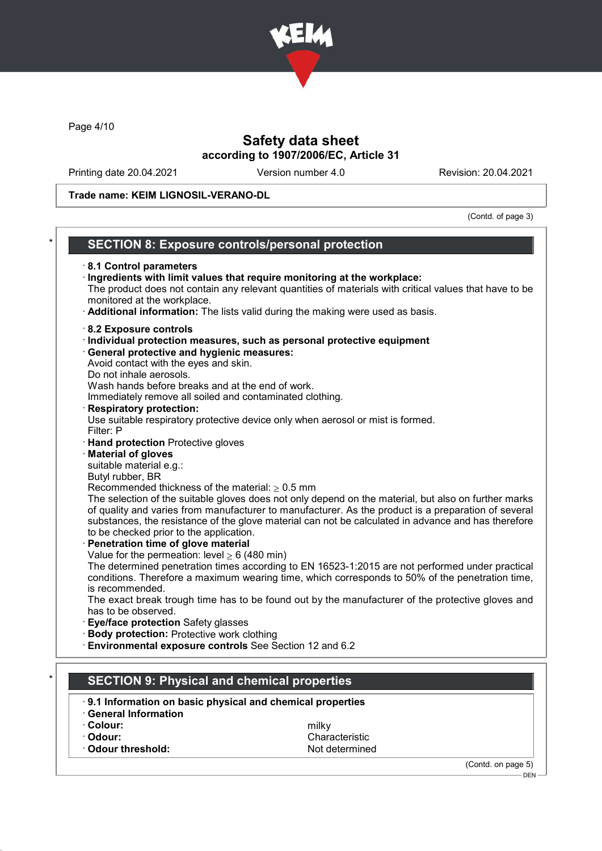

Page 4/10

# Safety data sheet according to 1907/2006/EC, Article 31

Printing date 20.04.2021 Version number 4.0 Revision: 20.04.2021

Trade name: KEIM LIGNOSIL-VERANO-DL

(Contd. of page 3)

| <b>SECTION 8: Exposure controls/personal protection</b>                                                                                                                                                                                                                                                                                                                                                                                                                                                                                                                                                                                                                                                                                                                                                                                                                                                                                                                                                                                                                                                                                                                                                                                                                                                                                                                                                                                                                                                                                                                                                             |
|---------------------------------------------------------------------------------------------------------------------------------------------------------------------------------------------------------------------------------------------------------------------------------------------------------------------------------------------------------------------------------------------------------------------------------------------------------------------------------------------------------------------------------------------------------------------------------------------------------------------------------------------------------------------------------------------------------------------------------------------------------------------------------------------------------------------------------------------------------------------------------------------------------------------------------------------------------------------------------------------------------------------------------------------------------------------------------------------------------------------------------------------------------------------------------------------------------------------------------------------------------------------------------------------------------------------------------------------------------------------------------------------------------------------------------------------------------------------------------------------------------------------------------------------------------------------------------------------------------------------|
| 8.1 Control parameters<br>· Ingredients with limit values that require monitoring at the workplace:<br>The product does not contain any relevant quantities of materials with critical values that have to be<br>monitored at the workplace.<br>· Additional information: The lists valid during the making were used as basis.                                                                                                                                                                                                                                                                                                                                                                                                                                                                                                                                                                                                                                                                                                                                                                                                                                                                                                                                                                                                                                                                                                                                                                                                                                                                                     |
| 8.2 Exposure controls<br>Individual protection measures, such as personal protective equipment<br>· General protective and hygienic measures:<br>Avoid contact with the eyes and skin.<br>Do not inhale aerosols.<br>Wash hands before breaks and at the end of work.<br>Immediately remove all soiled and contaminated clothing.<br><b>Respiratory protection:</b><br>Use suitable respiratory protective device only when aerosol or mist is formed.<br>Filter: P<br>· Hand protection Protective gloves<br><b>Material of gloves</b><br>suitable material e.g.:<br>Butyl rubber, BR<br>Recommended thickness of the material: $\geq 0.5$ mm<br>The selection of the suitable gloves does not only depend on the material, but also on further marks<br>of quality and varies from manufacturer to manufacturer. As the product is a preparation of several<br>substances, the resistance of the glove material can not be calculated in advance and has therefore<br>to be checked prior to the application.<br>Penetration time of glove material<br>Value for the permeation: level $\geq 6$ (480 min)<br>The determined penetration times according to EN 16523-1:2015 are not performed under practical<br>conditions. Therefore a maximum wearing time, which corresponds to 50% of the penetration time,<br>is recommended.<br>The exact break trough time has to be found out by the manufacturer of the protective gloves and<br>has to be observed.<br>Eye/face protection Safety glasses<br><b>Body protection: Protective work clothing</b><br>Environmental exposure controls See Section 12 and 6.2 |
| <b>SECTION 9: Physical and chemical properties</b>                                                                                                                                                                                                                                                                                                                                                                                                                                                                                                                                                                                                                                                                                                                                                                                                                                                                                                                                                                                                                                                                                                                                                                                                                                                                                                                                                                                                                                                                                                                                                                  |
| 9.1 Information on basic physical and chemical properties<br><b>General Information</b>                                                                                                                                                                                                                                                                                                                                                                                                                                                                                                                                                                                                                                                                                                                                                                                                                                                                                                                                                                                                                                                                                                                                                                                                                                                                                                                                                                                                                                                                                                                             |
| · Colour:<br>milky                                                                                                                                                                                                                                                                                                                                                                                                                                                                                                                                                                                                                                                                                                                                                                                                                                                                                                                                                                                                                                                                                                                                                                                                                                                                                                                                                                                                                                                                                                                                                                                                  |

(Contd. on page 5) – DEN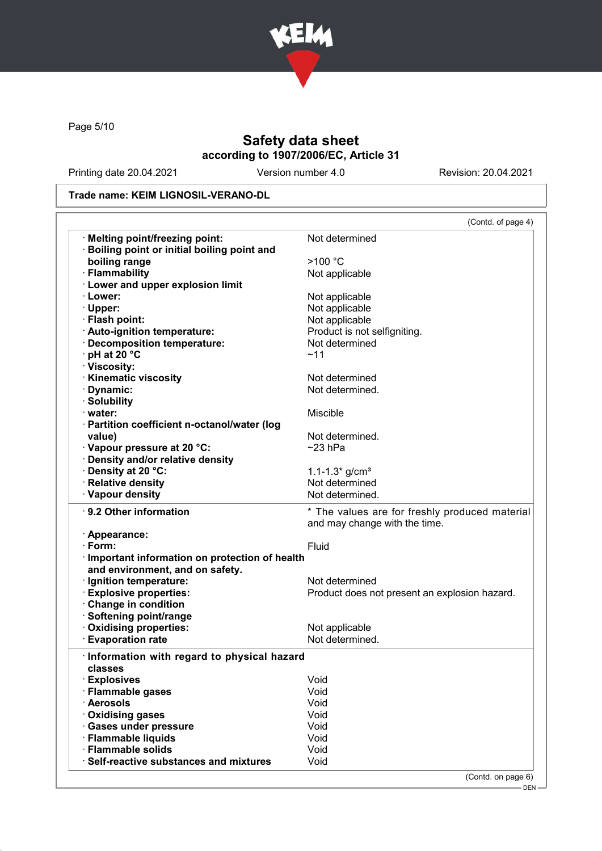

Page 5/10

# Safety data sheet according to 1907/2006/EC, Article 31

Printing date 20.04.2021 Version number 4.0 Revision: 20.04.2021

#### Trade name: KEIM LIGNOSIL-VERANO-DL

|                                                               | (Contd. of page 4)                                                              |
|---------------------------------------------------------------|---------------------------------------------------------------------------------|
| <b>Melting point/freezing point:</b>                          | Not determined                                                                  |
| <b>Boiling point or initial boiling point and</b>             |                                                                                 |
| boiling range                                                 | >100 °C                                                                         |
| · Flammability                                                | Not applicable                                                                  |
| · Lower and upper explosion limit                             |                                                                                 |
| · Lower:                                                      | Not applicable                                                                  |
| · Upper:                                                      | Not applicable                                                                  |
| · Flash point:                                                | Not applicable                                                                  |
| · Auto-ignition temperature:                                  | Product is not selfigniting.                                                    |
| · Decomposition temperature:                                  | Not determined                                                                  |
| · pH at 20 °C                                                 | ~11                                                                             |
| · Viscosity:                                                  |                                                                                 |
| · Kinematic viscosity                                         | Not determined                                                                  |
| · Dynamic:                                                    | Not determined.                                                                 |
| · Solubility                                                  |                                                                                 |
| $\cdot$ water:                                                | Miscible                                                                        |
| · Partition coefficient n-octanol/water (log                  |                                                                                 |
| value)                                                        | Not determined.                                                                 |
| · Vapour pressure at 20 °C:                                   | $~23$ hPa                                                                       |
| · Density and/or relative density                             |                                                                                 |
| · Density at 20 °C:                                           | $1.1 - 1.3*$ g/cm <sup>3</sup>                                                  |
| · Relative density                                            | Not determined                                                                  |
| · Vapour density                                              | Not determined.                                                                 |
| ⋅ 9.2 Other information                                       | * The values are for freshly produced material<br>and may change with the time. |
| · Appearance:                                                 |                                                                                 |
| · Form:                                                       | Fluid                                                                           |
| · Important information on protection of health               |                                                                                 |
| and environment, and on safety.                               |                                                                                 |
| · Ignition temperature:                                       | Not determined                                                                  |
| <b>Explosive properties:</b>                                  | Product does not present an explosion hazard.                                   |
| Change in condition                                           |                                                                                 |
| · Softening point/range                                       |                                                                                 |
| Oxidising properties:                                         | Not applicable                                                                  |
| · Evaporation rate                                            | Not determined.                                                                 |
|                                                               |                                                                                 |
| Information with regard to physical hazard                    |                                                                                 |
| classes                                                       |                                                                                 |
| · Explosives                                                  | Void                                                                            |
| · Flammable gases                                             | Void                                                                            |
| · Aerosols<br>· Oxidising gases                               | Void                                                                            |
|                                                               |                                                                                 |
|                                                               | Void                                                                            |
| · Gases under pressure                                        | Void                                                                            |
| · Flammable liquids                                           | Void                                                                            |
| · Flammable solids<br>· Self-reactive substances and mixtures | Void<br>Void                                                                    |

– DEN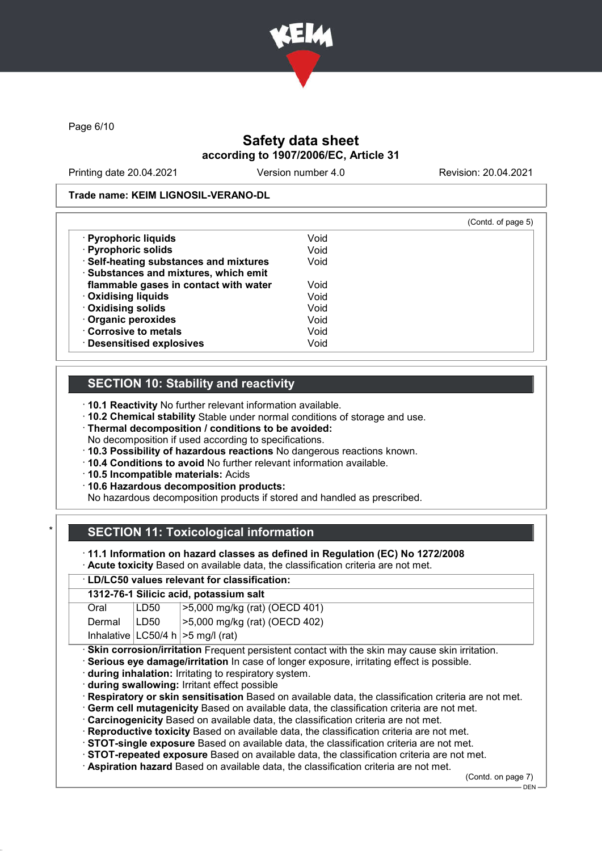

Page 6/10

# Safety data sheet according to 1907/2006/EC, Article 31

Printing date 20.04.2021 Version number 4.0 Revision: 20.04.2021

#### Trade name: KEIM LIGNOSIL-VERANO-DL

|                                        |      | (Contd. of page 5) |
|----------------------------------------|------|--------------------|
| · Pyrophoric liquids                   | Void |                    |
| · Pyrophoric solids                    | Void |                    |
| · Self-heating substances and mixtures | Void |                    |
| · Substances and mixtures, which emit  |      |                    |
| flammable gases in contact with water  | Void |                    |
| <b>Oxidising liquids</b>               | Void |                    |
| · Oxidising solids                     | Void |                    |
| · Organic peroxides                    | Void |                    |
| Corrosive to metals                    | Void |                    |
| <b>Desensitised explosives</b>         | Void |                    |

## SECTION 10: Stability and reactivity

· 10.1 Reactivity No further relevant information available.

- · 10.2 Chemical stability Stable under normal conditions of storage and use.
- · Thermal decomposition / conditions to be avoided:

No decomposition if used according to specifications.

- · 10.3 Possibility of hazardous reactions No dangerous reactions known.
- · 10.4 Conditions to avoid No further relevant information available.
- · 10.5 Incompatible materials: Acids
- · 10.6 Hazardous decomposition products:

No hazardous decomposition products if stored and handled as prescribed.

# **SECTION 11: Toxicological information**

· 11.1 Information on hazard classes as defined in Regulation (EC) No 1272/2008

· Acute toxicity Based on available data, the classification criteria are not met.

#### · LD/LC50 values relevant for classification:

|        |                                                      | 1312-76-1 Silicic acid, potassium salt                                                                |  |
|--------|------------------------------------------------------|-------------------------------------------------------------------------------------------------------|--|
| Oral   | LD50                                                 | >5,000 mg/kg (rat) (OECD 401)                                                                         |  |
| Dermal | LD50                                                 | >5,000 mg/kg (rat) (OECD 402)                                                                         |  |
|        |                                                      | Inhalative $ LC50/4 h  > 5 mg/l$ (rat)                                                                |  |
|        |                                                      | · Skin corrosion/irritation Frequent persistent contact with the skin may cause skin irritation.      |  |
|        |                                                      | · Serious eye damage/irritation In case of longer exposure, irritating effect is possible.            |  |
|        | during inhalation: Irritating to respiratory system. |                                                                                                       |  |
|        |                                                      | during swallowing: Irritant effect possible                                                           |  |
|        |                                                      | · Respiratory or skin sensitisation Based on available data, the classification criteria are not met. |  |
|        |                                                      | $\cdot$ Germ cell mutagenicity Based on available data, the classification criteria are not met.      |  |
|        |                                                      | Carcinogenicity Based on available data, the classification criteria are not met.                     |  |
|        |                                                      | Reproductive toxicity Based on available data, the classification criteria are not met.               |  |
|        |                                                      | STOT-single exposure Based on available data, the classification criteria are not met.                |  |
|        |                                                      | STOT-repeated exposure Based on available data, the classification criteria are not met.              |  |
|        |                                                      | Aspiration hazard Based on available data, the classification criteria are not met.                   |  |

(Contd. on page 7)

DEN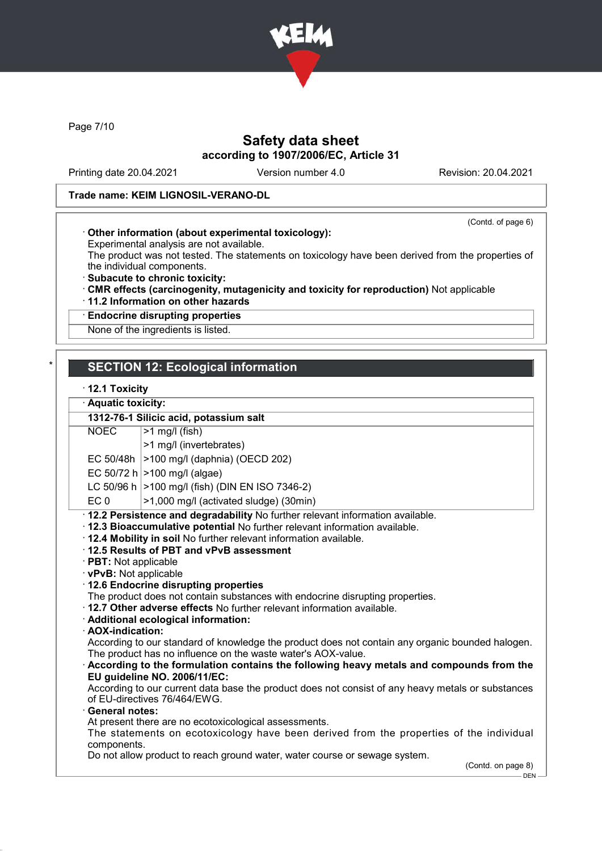

Page 7/10

# Safety data sheet according to 1907/2006/EC, Article 31

Printing date 20.04.2021 Version number 4.0 Revision: 20.04.2021

(Contd. of page 6)

### Trade name: KEIM LIGNOSIL-VERANO-DL

#### · Other information (about experimental toxicology):

Experimental analysis are not available.

The product was not tested. The statements on toxicology have been derived from the properties of the individual components.

- · Subacute to chronic toxicity:
- · CMR effects (carcinogenity, mutagenicity and toxicity for reproduction) Not applicable
- · 11.2 Information on other hazards

# · Endocrine disrupting properties

None of the ingredients is listed.

## **SECTION 12: Ecological information**

#### · 12.1 Toxicity

Aquatic toxicity:

|                                                                                          | 1312-76-1 Silicic acid, potassium salt                                                                                                                                                                                                                                                                                                                                                                                                                                                                                                                                                                                                                                                                                                                                                                                                                                                                                                                                                                                                                                                                            |
|------------------------------------------------------------------------------------------|-------------------------------------------------------------------------------------------------------------------------------------------------------------------------------------------------------------------------------------------------------------------------------------------------------------------------------------------------------------------------------------------------------------------------------------------------------------------------------------------------------------------------------------------------------------------------------------------------------------------------------------------------------------------------------------------------------------------------------------------------------------------------------------------------------------------------------------------------------------------------------------------------------------------------------------------------------------------------------------------------------------------------------------------------------------------------------------------------------------------|
| <b>NOEC</b>                                                                              | $>1$ mg/l (fish)                                                                                                                                                                                                                                                                                                                                                                                                                                                                                                                                                                                                                                                                                                                                                                                                                                                                                                                                                                                                                                                                                                  |
|                                                                                          | >1 mg/l (invertebrates)                                                                                                                                                                                                                                                                                                                                                                                                                                                                                                                                                                                                                                                                                                                                                                                                                                                                                                                                                                                                                                                                                           |
|                                                                                          | EC 50/48h   > 100 mg/l (daphnia) (OECD 202)                                                                                                                                                                                                                                                                                                                                                                                                                                                                                                                                                                                                                                                                                                                                                                                                                                                                                                                                                                                                                                                                       |
|                                                                                          | EC 50/72 h $ >100$ mg/l (algae)                                                                                                                                                                                                                                                                                                                                                                                                                                                                                                                                                                                                                                                                                                                                                                                                                                                                                                                                                                                                                                                                                   |
|                                                                                          | LC 50/96 h   > 100 mg/l (fish) (DIN EN ISO 7346-2)                                                                                                                                                                                                                                                                                                                                                                                                                                                                                                                                                                                                                                                                                                                                                                                                                                                                                                                                                                                                                                                                |
| EC <sub>0</sub>                                                                          | >1,000 mg/l (activated sludge) (30min)                                                                                                                                                                                                                                                                                                                                                                                                                                                                                                                                                                                                                                                                                                                                                                                                                                                                                                                                                                                                                                                                            |
| · PBT: Not applicable<br>· vPvB: Not applicable<br>· AOX-indication:<br>· General notes: | 12.2 Persistence and degradability No further relevant information available.<br>· 12.3 Bioaccumulative potential No further relevant information available.<br>. 12.4 Mobility in soil No further relevant information available.<br>12.5 Results of PBT and vPvB assessment<br>12.6 Endocrine disrupting properties<br>The product does not contain substances with endocrine disrupting properties.<br>. 12.7 Other adverse effects No further relevant information available.<br>· Additional ecological information:<br>According to our standard of knowledge the product does not contain any organic bounded halogen.<br>The product has no influence on the waste water's AOX-value.<br>According to the formulation contains the following heavy metals and compounds from the<br>EU guideline NO. 2006/11/EC:<br>According to our current data base the product does not consist of any heavy metals or substances<br>of EU-directives 76/464/EWG.<br>At present there are no ecotoxicological assessments.<br>The statements on ecotoxicology have been derived from the properties of the individual |
| components.                                                                              |                                                                                                                                                                                                                                                                                                                                                                                                                                                                                                                                                                                                                                                                                                                                                                                                                                                                                                                                                                                                                                                                                                                   |
|                                                                                          | Do not allow product to reach ground water, water course or sewage system.<br>(Contd. on page 8)<br>DEN-                                                                                                                                                                                                                                                                                                                                                                                                                                                                                                                                                                                                                                                                                                                                                                                                                                                                                                                                                                                                          |
|                                                                                          |                                                                                                                                                                                                                                                                                                                                                                                                                                                                                                                                                                                                                                                                                                                                                                                                                                                                                                                                                                                                                                                                                                                   |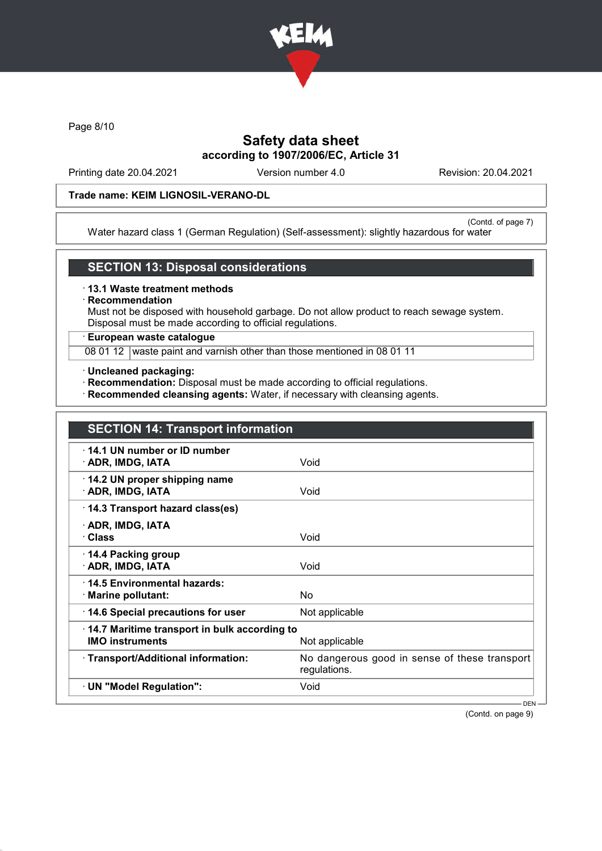

Page 8/10

# Safety data sheet according to 1907/2006/EC, Article 31

Printing date 20.04.2021 Version number 4.0 Revision: 20.04.2021

## Trade name: KEIM LIGNOSIL-VERANO-DL

(Contd. of page 7) Water hazard class 1 (German Regulation) (Self-assessment): slightly hazardous for water

#### SECTION 13: Disposal considerations

· 13.1 Waste treatment methods

# **Recommendation**

Must not be disposed with household garbage. Do not allow product to reach sewage system. Disposal must be made according to official regulations.

### · European waste catalogue

08 01 12 waste paint and varnish other than those mentioned in 08 01 11

- · Uncleaned packaging:
- · Recommendation: Disposal must be made according to official regulations.
- · Recommended cleansing agents: Water, if necessary with cleansing agents.

| <b>SECTION 14: Transport information</b>                               |                                                               |
|------------------------------------------------------------------------|---------------------------------------------------------------|
| 14.1 UN number or ID number<br>· ADR, IMDG, IATA                       | Void                                                          |
| 14.2 UN proper shipping name<br>· ADR, IMDG, IATA                      | Void                                                          |
| 14.3 Transport hazard class(es)                                        |                                                               |
| · ADR, IMDG, IATA<br>· Class                                           | Void                                                          |
| ⋅ 14.4 Packing group<br>· ADR, IMDG, IATA                              | Void                                                          |
| ⋅14.5 Environmental hazards:<br>· Marine pollutant:                    | No.                                                           |
| 14.6 Special precautions for user                                      | Not applicable                                                |
| 14.7 Maritime transport in bulk according to<br><b>IMO instruments</b> | Not applicable                                                |
| · Transport/Additional information:                                    | No dangerous good in sense of these transport<br>regulations. |
| · UN "Model Regulation":                                               | Void                                                          |
|                                                                        | $DEN -$                                                       |

(Contd. on page 9)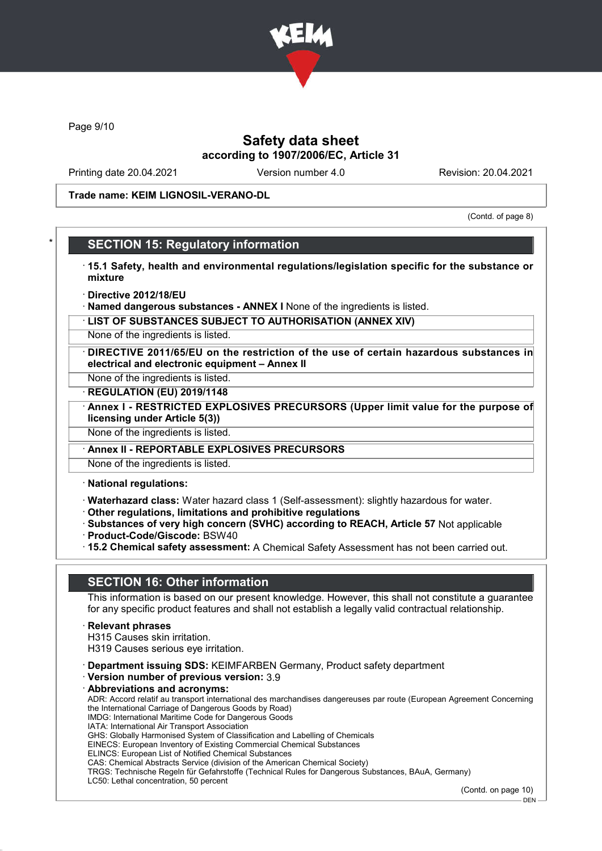

Page 9/10

## Safety data sheet according to 1907/2006/EC, Article 31

Printing date 20.04.2021 Version number 4.0 Revision: 20.04.2021

Trade name: KEIM LIGNOSIL-VERANO-DL

(Contd. of page 8)

### **SECTION 15: Regulatory information**

- · 15.1 Safety, health and environmental regulations/legislation specific for the substance or mixture
- · Directive 2012/18/EU
- · Named dangerous substances ANNEX I None of the ingredients is listed.
- · LIST OF SUBSTANCES SUBJECT TO AUTHORISATION (ANNEX XIV)
- None of the ingredients is listed.
- · DIRECTIVE 2011/65/EU on the restriction of the use of certain hazardous substances in electrical and electronic equipment – Annex II
- None of the ingredients is listed.
- · REGULATION (EU) 2019/1148
- · Annex I RESTRICTED EXPLOSIVES PRECURSORS (Upper limit value for the purpose of licensing under Article 5(3))
- None of the ingredients is listed.
- Annex II REPORTABLE EXPLOSIVES PRECURSORS
- None of the ingredients is listed.
- · National regulations:
- · Waterhazard class: Water hazard class 1 (Self-assessment): slightly hazardous for water.
- · Other regulations, limitations and prohibitive regulations
- · Substances of very high concern (SVHC) according to REACH, Article 57 Not applicable · Product-Code/Giscode: BSW40
- · 15.2 Chemical safety assessment: A Chemical Safety Assessment has not been carried out.

### SECTION 16: Other information

This information is based on our present knowledge. However, this shall not constitute a guarantee for any specific product features and shall not establish a legally valid contractual relationship.

- · Relevant phrases
- H315 Causes skin irritation.
- H319 Causes serious eye irritation.
- · Department issuing SDS: KEIMFARBEN Germany, Product safety department
- · Version number of previous version: 3.9
- · Abbreviations and acronyms: ADR: Accord relatif au transport international des marchandises dangereuses par route (European Agreement Concerning the International Carriage of Dangerous Goods by Road) IMDG: International Maritime Code for Dangerous Goods IATA: International Air Transport Association GHS: Globally Harmonised System of Classification and Labelling of Chemicals EINECS: European Inventory of Existing Commercial Chemical Substances ELINCS: European List of Notified Chemical Substances CAS: Chemical Abstracts Service (division of the American Chemical Society) TRGS: Technische Regeln für Gefahrstoffe (Technical Rules for Dangerous Substances, BAuA, Germany)

LC50: Lethal concentration, 50 percent

(Contd. on page 10)